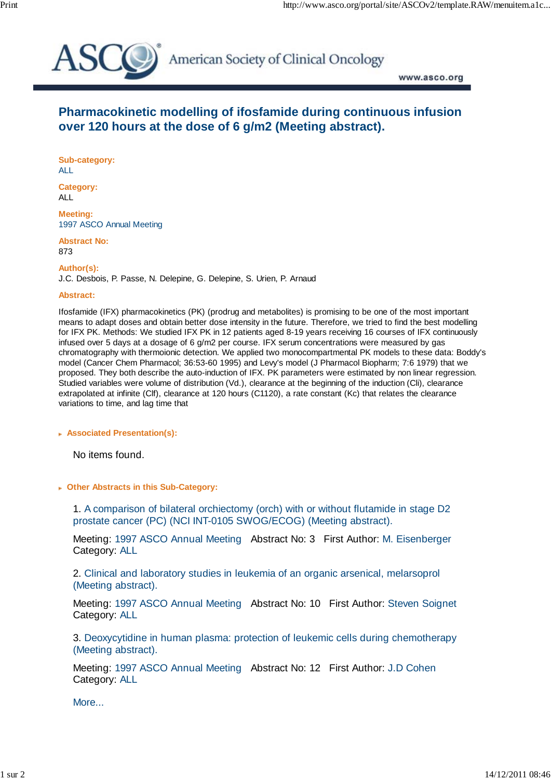



American Society of Clinical Oncology

www.asco.org

## **Pharmacokinetic modelling of ifosfamide during continuous infusion over 120 hours at the dose of 6 g/m2 (Meeting abstract).**

**Sub-category:** ALL

**Category:** ALL

**Meeting:** 1997 ASCO Annual Meeting

**Abstract No:** 873

**Author(s):**

J.C. Desbois, P. Passe, N. Delepine, G. Delepine, S. Urien, P. Arnaud

## **Abstract:**

Ifosfamide (IFX) pharmacokinetics (PK) (prodrug and metabolites) is promising to be one of the most important means to adapt doses and obtain better dose intensity in the future. Therefore, we tried to find the best modelling for IFX PK. Methods: We studied IFX PK in 12 patients aged 8-19 years receiving 16 courses of IFX continuously infused over 5 days at a dosage of 6 g/m2 per course. IFX serum concentrations were measured by gas chromatography with thermoionic detection. We applied two monocompartmental PK models to these data: Boddy's model (Cancer Chem Pharmacol; 36:53-60 1995) and Levy's model (J Pharmacol Biopharm; 7:6 1979) that we proposed. They both describe the auto-induction of IFX. PK parameters were estimated by non linear regression. Studied variables were volume of distribution (Vd.), clearance at the beginning of the induction (Cli), clearance extrapolated at infinite (Clf), clearance at 120 hours (C1120), a rate constant (Kc) that relates the clearance variations to time, and lag time that

 **Associated Presentation(s):**

No items found.

 **Other Abstracts in this Sub-Category:**

 1. A comparison of bilateral orchiectomy (orch) with or without flutamide in stage D2 prostate cancer (PC) (NCI INT-0105 SWOG/ECOG) (Meeting abstract).

Meeting: 1997 ASCO Annual Meeting Abstract No: 3 First Author: M. Eisenberger Category: ALL

 2. Clinical and laboratory studies in leukemia of an organic arsenical, melarsoprol (Meeting abstract).

Meeting: 1997 ASCO Annual Meeting Abstract No: 10 First Author: Steven Soignet Category: ALL

 3. Deoxycytidine in human plasma: protection of leukemic cells during chemotherapy (Meeting abstract).

Meeting: 1997 ASCO Annual Meeting Abstract No: 12 First Author: J.D Cohen Category: ALL

More...